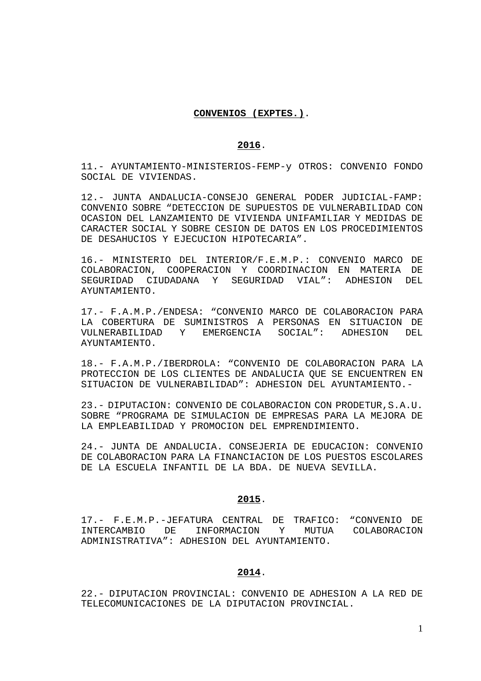## **CONVENIOS (EXPTES.)**.

## **2016**.

11.- AYUNTAMIENTO-MINISTERIOS-FEMP-y OTROS: CONVENIO FONDO SOCIAL DE VIVIENDAS.

12.- JUNTA ANDALUCIA-CONSEJO GENERAL PODER JUDICIAL-FAMP: CONVENIO SOBRE "DETECCION DE SUPUESTOS DE VULNERABILIDAD CON OCASION DEL LANZAMIENTO DE VIVIENDA UNIFAMILIAR Y MEDIDAS DE CARACTER SOCIAL Y SOBRE CESION DE DATOS EN LOS PROCEDIMIENTOS DE DESAHUCIOS Y EJECUCION HIPOTECARIA".

16.- MINISTERIO DEL INTERIOR/F.E.M.P.: CONVENIO MARCO DE COLABORACION, COOPERACION Y COORDINACION EN MATERIA DE SEGURIDAD CIUDADANA Y SEGURIDAD VIAL": ADHESION DEL AYUNTAMIENTO.

17.- F.A.M.P./ENDESA: "CONVENIO MARCO DE COLABORACION PARA LA COBERTURA DE SUMINISTROS A PERSONAS EN SITUACION DE VULNERABILIDAD Y EMERGENCIA SOCIAL": ADHESION DEL AYUNTAMIENTO.

18.- F.A.M.P./IBERDROLA: "CONVENIO DE COLABORACION PARA LA PROTECCION DE LOS CLIENTES DE ANDALUCIA QUE SE ENCUENTREN EN SITUACION DE VULNERABILIDAD": ADHESION DEL AYUNTAMIENTO.-

23.- DIPUTACION: CONVENIO DE COLABORACION CON PRODETUR,S.A.U. SOBRE "PROGRAMA DE SIMULACION DE EMPRESAS PARA LA MEJORA DE LA EMPLEABILIDAD Y PROMOCION DEL EMPRENDIMIENTO.

24.- JUNTA DE ANDALUCIA. CONSEJERIA DE EDUCACION: CONVENIO DE COLABORACION PARA LA FINANCIACION DE LOS PUESTOS ESCOLARES DE LA ESCUELA INFANTIL DE LA BDA. DE NUEVA SEVILLA.

### **2015**.

17.- F.E.M.P.-JEFATURA CENTRAL DE TRAFICO: "CONVENIO DE INTERCAMBIO DE INFORMACION Y MUTUA COLABORACION ADMINISTRATIVA": ADHESION DEL AYUNTAMIENTO.

# **2014**.

22.- DIPUTACION PROVINCIAL: CONVENIO DE ADHESION A LA RED DE TELECOMUNICACIONES DE LA DIPUTACION PROVINCIAL.

1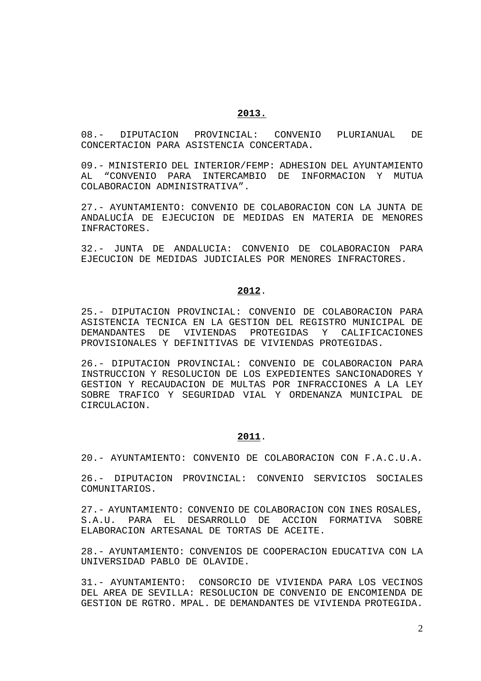08.- DIPUTACION PROVINCIAL: CONVENIO PLURIANUAL DE CONCERTACION PARA ASISTENCIA CONCERTADA.

09.- MINISTERIO DEL INTERIOR/FEMP: ADHESION DEL AYUNTAMIENTO AL "CONVENIO PARA INTERCAMBIO DE INFORMACION Y MUTUA COLABORACION ADMINISTRATIVA".

27.- AYUNTAMIENTO: CONVENIO DE COLABORACION CON LA JUNTA DE ANDALUCÍA DE EJECUCION DE MEDIDAS EN MATERIA DE MENORES INFRACTORES.

32.- JUNTA DE ANDALUCIA: CONVENIO DE COLABORACION PARA EJECUCION DE MEDIDAS JUDICIALES POR MENORES INFRACTORES.

#### **2012**.

25.- DIPUTACION PROVINCIAL: CONVENIO DE COLABORACION PARA ASISTENCIA TECNICA EN LA GESTION DEL REGISTRO MUNICIPAL DE DEMANDANTES DE VIVIENDAS PROTEGIDAS Y CALIFICACIONES PROVISIONALES Y DEFINITIVAS DE VIVIENDAS PROTEGIDAS.

26.- DIPUTACION PROVINCIAL: CONVENIO DE COLABORACION PARA INSTRUCCION Y RESOLUCION DE LOS EXPEDIENTES SANCIONADORES Y GESTION Y RECAUDACION DE MULTAS POR INFRACCIONES A LA LEY SOBRE TRAFICO Y SEGURIDAD VIAL Y ORDENANZA MUNICIPAL DE CIRCULACION.

## **2011**.

20.- AYUNTAMIENTO: CONVENIO DE COLABORACION CON F.A.C.U.A.

26.- DIPUTACION PROVINCIAL: CONVENIO SERVICIOS SOCIALES COMUNITARIOS.

27.- AYUNTAMIENTO: CONVENIO DE COLABORACION CON INES ROSALES, S.A.U. PARA EL DESARROLLO DE ACCION FORMATIVA SOBRE ELABORACION ARTESANAL DE TORTAS DE ACEITE.

28.- AYUNTAMIENTO: CONVENIOS DE COOPERACION EDUCATIVA CON LA UNIVERSIDAD PABLO DE OLAVIDE.

31.- AYUNTAMIENTO: CONSORCIO DE VIVIENDA PARA LOS VECINOS DEL AREA DE SEVILLA: RESOLUCION DE CONVENIO DE ENCOMIENDA DE GESTION DE RGTRO. MPAL. DE DEMANDANTES DE VIVIENDA PROTEGIDA.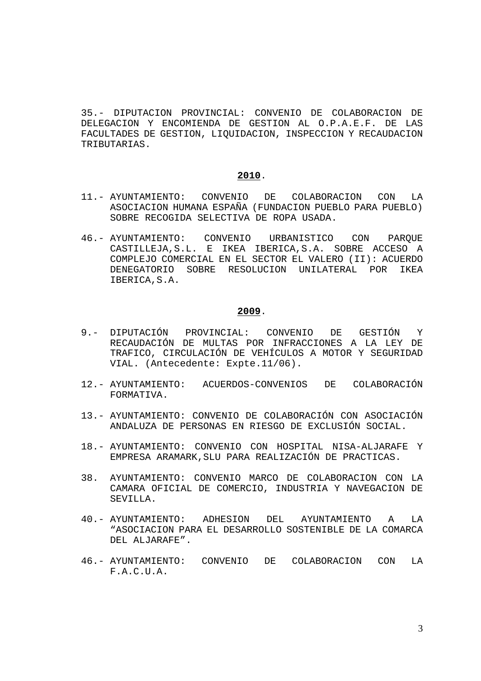35.- DIPUTACION PROVINCIAL: CONVENIO DE COLABORACION DE DELEGACION Y ENCOMIENDA DE GESTION AL O.P.A.E.F. DE LAS FACULTADES DE GESTION, LIQUIDACION, INSPECCION Y RECAUDACION TRIBUTARIAS.

## **2010**.

- 11.- AYUNTAMIENTO: CONVENIO DE COLABORACION CON LA ASOCIACION HUMANA ESPAÑA (FUNDACION PUEBLO PARA PUEBLO) SOBRE RECOGIDA SELECTIVA DE ROPA USADA.
- 46.- AYUNTAMIENTO: CONVENIO URBANISTICO CON PARQUE CASTILLEJA,S.L. E IKEA IBERICA,S.A. SOBRE ACCESO A COMPLEJO COMERCIAL EN EL SECTOR EL VALERO (II): ACUERDO DENEGATORIO SOBRE RESOLUCION UNILATERAL POR IKEA IBERICA,S.A.

- 9.- DIPUTACIÓN PROVINCIAL: CONVENIO DE GESTIÓN Y RECAUDACIÓN DE MULTAS POR INFRACCIONES A LA LEY DE TRAFICO, CIRCULACIÓN DE VEHÍCULOS A MOTOR Y SEGURIDAD VIAL. (Antecedente: Expte.11/06).
- 12.- AYUNTAMIENTO: ACUERDOS-CONVENIOS DE COLABORACIÓN FORMATIVA.
- 13.- AYUNTAMIENTO: CONVENIO DE COLABORACIÓN CON ASOCIACIÓN ANDALUZA DE PERSONAS EN RIESGO DE EXCLUSIÓN SOCIAL.
- 18.- AYUNTAMIENTO: CONVENIO CON HOSPITAL NISA-ALJARAFE Y EMPRESA ARAMARK,SLU PARA REALIZACIÓN DE PRACTICAS.
- 38. AYUNTAMIENTO: CONVENIO MARCO DE COLABORACION CON LA CAMARA OFICIAL DE COMERCIO, INDUSTRIA Y NAVEGACION DE SEVILLA.
- 40.- AYUNTAMIENTO: ADHESION DEL AYUNTAMIENTO A LA "ASOCIACION PARA EL DESARROLLO SOSTENIBLE DE LA COMARCA DEL ALJARAFE".
- 46.- AYUNTAMIENTO: CONVENIO DE COLABORACION CON LA F.A.C.U.A.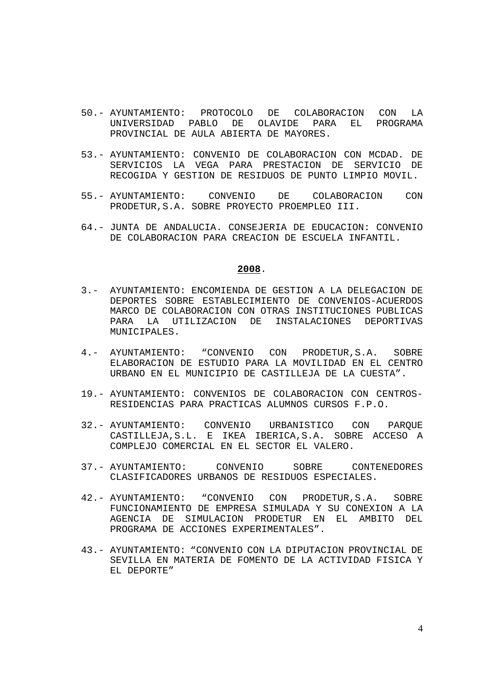- 50.- AYUNTAMIENTO: PROTOCOLO DE COLABORACION CON LA UNIVERSIDAD PABLO DE OLAVIDE PARA EL PROGRAMA PROVINCIAL DE AULA ABIERTA DE MAYORES.
- 53.- AYUNTAMIENTO: CONVENIO DE COLABORACION CON MCDAD. DE SERVICIOS LA VEGA PARA PRESTACION DE SERVICIO DE RECOGIDA Y GESTION DE RESIDUOS DE PUNTO LIMPIO MOVIL.
- 55.- AYUNTAMIENTO: CONVENIO DE COLABORACION CON PRODETUR,S.A. SOBRE PROYECTO PROEMPLEO III.
- 64.- JUNTA DE ANDALUCIA. CONSEJERIA DE EDUCACION: CONVENIO DE COLABORACION PARA CREACION DE ESCUELA INFANTIL.

- 3.- AYUNTAMIENTO: ENCOMIENDA DE GESTION A LA DELEGACION DE DEPORTES SOBRE ESTABLECIMIENTO DE CONVENIOS-ACUERDOS MARCO DE COLABORACION CON OTRAS INSTITUCIONES PUBLICAS PARA LA UTILIZACION DE INSTALACIONES DEPORTIVAS MUNICIPALES.
- 4.- AYUNTAMIENTO: "CONVENIO CON PRODETUR,S.A. SOBRE ELABORACION DE ESTUDIO PARA LA MOVILIDAD EN EL CENTRO URBANO EN EL MUNICIPIO DE CASTILLEJA DE LA CUESTA".
- 19.- AYUNTAMIENTO: CONVENIOS DE COLABORACION CON CENTROS-RESIDENCIAS PARA PRACTICAS ALUMNOS CURSOS F.P.O.
- 32.- AYUNTAMIENTO: CONVENIO URBANISTICO CON PARQUE CASTILLEJA,S.L. E IKEA IBERICA,S.A. SOBRE ACCESO A COMPLEJO COMERCIAL EN EL SECTOR EL VALERO.
- 37.- AYUNTAMIENTO: CONVENIO SOBRE CONTENEDORES CLASIFICADORES URBANOS DE RESIDUOS ESPECIALES.
- 42.- AYUNTAMIENTO: "CONVENIO CON PRODETUR,S.A. SOBRE FUNCIONAMIENTO DE EMPRESA SIMULADA Y SU CONEXION A LA AGENCIA DE SIMULACION PRODETUR EN EL AMBITO DEL PROGRAMA DE ACCIONES EXPERIMENTALES".
- 43.- AYUNTAMIENTO: "CONVENIO CON LA DIPUTACION PROVINCIAL DE SEVILLA EN MATERIA DE FOMENTO DE LA ACTIVIDAD FISICA Y EL DEPORTE"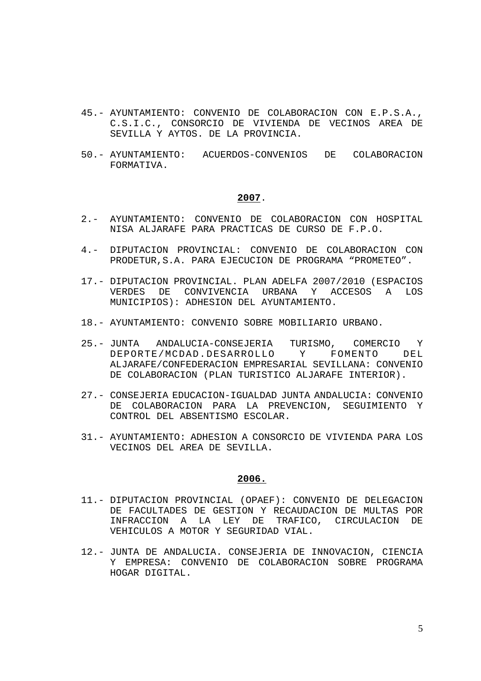- 45.- AYUNTAMIENTO: CONVENIO DE COLABORACION CON E.P.S.A., C.S.I.C., CONSORCIO DE VIVIENDA DE VECINOS AREA DE SEVILLA Y AYTOS. DE LA PROVINCIA.
- 50.- AYUNTAMIENTO: ACUERDOS-CONVENIOS DE COLABORACION FORMATIVA.

- 2.- AYUNTAMIENTO: CONVENIO DE COLABORACION CON HOSPITAL NISA ALJARAFE PARA PRACTICAS DE CURSO DE F.P.O.
- 4.- DIPUTACION PROVINCIAL: CONVENIO DE COLABORACION CON PRODETUR,S.A. PARA EJECUCION DE PROGRAMA "PROMETEO".
- 17.- DIPUTACION PROVINCIAL. PLAN ADELFA 2007/2010 (ESPACIOS VERDES DE CONVIVENCIA URBANA Y ACCESOS A LOS MUNICIPIOS): ADHESION DEL AYUNTAMIENTO.
- 18.- AYUNTAMIENTO: CONVENIO SOBRE MOBILIARIO URBANO.
- 25.- JUNTA ANDALUCIA-CONSEJERIA TURISMO, COMERCIO Y DEPORTE/MCDAD.DESARROLLO Y FOMENTO DEL ALJARAFE/CONFEDERACION EMPRESARIAL SEVILLANA: CONVENIO DE COLABORACION (PLAN TURISTICO ALJARAFE INTERIOR).
- 27.- CONSEJERIA EDUCACION-IGUALDAD JUNTA ANDALUCIA: CONVENIO DE COLABORACION PARA LA PREVENCION, SEGUIMIENTO Y CONTROL DEL ABSENTISMO ESCOLAR.
- 31.- AYUNTAMIENTO: ADHESION A CONSORCIO DE VIVIENDA PARA LOS VECINOS DEL AREA DE SEVILLA.

- 11.- DIPUTACION PROVINCIAL (OPAEF): CONVENIO DE DELEGACION DE FACULTADES DE GESTION Y RECAUDACION DE MULTAS POR INFRACCION A LA LEY DE TRAFICO, CIRCULACION DE VEHICULOS A MOTOR Y SEGURIDAD VIAL.
- 12.- JUNTA DE ANDALUCIA. CONSEJERIA DE INNOVACION, CIENCIA Y EMPRESA: CONVENIO DE COLABORACION SOBRE PROGRAMA HOGAR DIGITAL.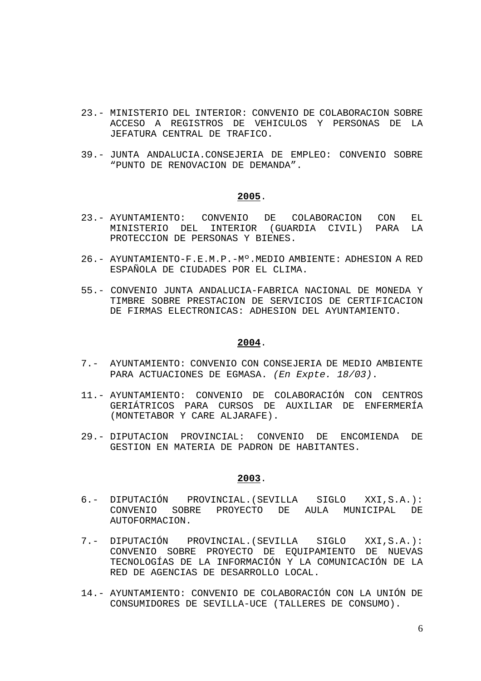- 23.- MINISTERIO DEL INTERIOR: CONVENIO DE COLABORACION SOBRE ACCESO A REGISTROS DE VEHICULOS Y PERSONAS DE LA JEFATURA CENTRAL DE TRAFICO.
- 39.- JUNTA ANDALUCIA.CONSEJERIA DE EMPLEO: CONVENIO SOBRE "PUNTO DE RENOVACION DE DEMANDA".

- 23.- AYUNTAMIENTO: CONVENIO DE COLABORACION CON EL MINISTERIO DEL INTERIOR (GUARDIA CIVIL) PARA LA PROTECCION DE PERSONAS Y BIENES.
- 26.- AYUNTAMIENTO-F.E.M.P.-Mº.MEDIO AMBIENTE: ADHESION A RED ESPAÑOLA DE CIUDADES POR EL CLIMA.
- 55.- CONVENIO JUNTA ANDALUCIA-FABRICA NACIONAL DE MONEDA Y TIMBRE SOBRE PRESTACION DE SERVICIOS DE CERTIFICACION DE FIRMAS ELECTRONICAS: ADHESION DEL AYUNTAMIENTO.

## **2004**.

- 7.- AYUNTAMIENTO: CONVENIO CON CONSEJERIA DE MEDIO AMBIENTE PARA ACTUACIONES DE EGMASA. (En Expte. 18/03).
- 11.- AYUNTAMIENTO: CONVENIO DE COLABORACIÓN CON CENTROS GERIÁTRICOS PARA CURSOS DE AUXILIAR DE ENFERMERÍA (MONTETABOR Y CARE ALJARAFE).
- 29.- DIPUTACION PROVINCIAL: CONVENIO DE ENCOMIENDA DE GESTION EN MATERIA DE PADRON DE HABITANTES.

- 6.- DIPUTACIÓN PROVINCIAL.(SEVILLA SIGLO XXI,S.A.): CONVENIO SOBRE PROYECTO DE AULA MUNICIPAL DE AUTOFORMACION.
- 7.- DIPUTACIÓN PROVINCIAL.(SEVILLA SIGLO XXI,S.A.): CONVENIO SOBRE PROYECTO DE EQUIPAMIENTO DE NUEVAS TECNOLOGÍAS DE LA INFORMACIÓN Y LA COMUNICACIÓN DE LA RED DE AGENCIAS DE DESARROLLO LOCAL.
- 14.- AYUNTAMIENTO: CONVENIO DE COLABORACIÓN CON LA UNIÓN DE CONSUMIDORES DE SEVILLA-UCE (TALLERES DE CONSUMO).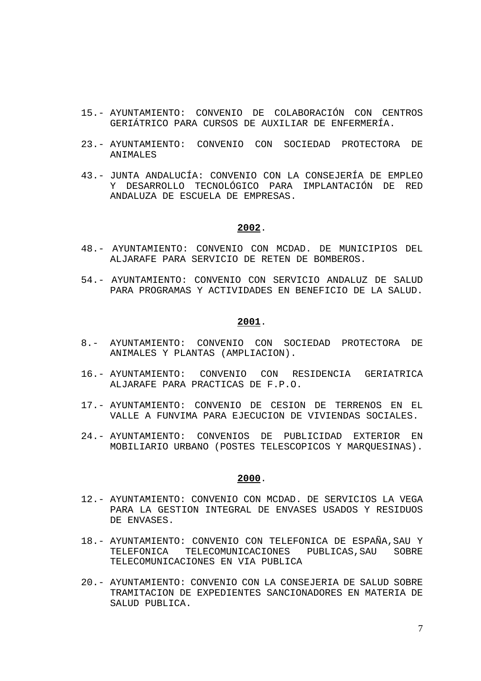- 15.- AYUNTAMIENTO: CONVENIO DE COLABORACIÓN CON CENTROS GERIÁTRICO PARA CURSOS DE AUXILIAR DE ENFERMERÍA.
- 23.- AYUNTAMIENTO: CONVENIO CON SOCIEDAD PROTECTORA DE ANIMALES
- 43.- JUNTA ANDALUCÍA: CONVENIO CON LA CONSEJERÍA DE EMPLEO Y DESARROLLO TECNOLÓGICO PARA IMPLANTACIÓN DE RED ANDALUZA DE ESCUELA DE EMPRESAS.

- 48.- AYUNTAMIENTO: CONVENIO CON MCDAD. DE MUNICIPIOS DEL ALJARAFE PARA SERVICIO DE RETEN DE BOMBEROS.
- 54.- AYUNTAMIENTO: CONVENIO CON SERVICIO ANDALUZ DE SALUD PARA PROGRAMAS Y ACTIVIDADES EN BENEFICIO DE LA SALUD.

#### **2001**.

- 8.- AYUNTAMIENTO: CONVENIO CON SOCIEDAD PROTECTORA DE ANIMALES Y PLANTAS (AMPLIACION).
- 16.- AYUNTAMIENTO: CONVENIO CON RESIDENCIA GERIATRICA ALJARAFE PARA PRACTICAS DE F.P.O.
- 17.- AYUNTAMIENTO: CONVENIO DE CESION DE TERRENOS EN EL VALLE A FUNVIMA PARA EJECUCION DE VIVIENDAS SOCIALES.
- 24.- AYUNTAMIENTO: CONVENIOS DE PUBLICIDAD EXTERIOR EN MOBILIARIO URBANO (POSTES TELESCOPICOS Y MARQUESINAS).

- 12.- AYUNTAMIENTO: CONVENIO CON MCDAD. DE SERVICIOS LA VEGA PARA LA GESTION INTEGRAL DE ENVASES USADOS Y RESIDUOS DE ENVASES.
- 18.- AYUNTAMIENTO: CONVENIO CON TELEFONICA DE ESPAÑA,SAU Y TELEFONICA TELECOMUNICACIONES PUBLICAS,SAU SOBRE TELECOMUNICACIONES EN VIA PUBLICA
- 20.- AYUNTAMIENTO: CONVENIO CON LA CONSEJERIA DE SALUD SOBRE TRAMITACION DE EXPEDIENTES SANCIONADORES EN MATERIA DE SALUD PUBLICA.